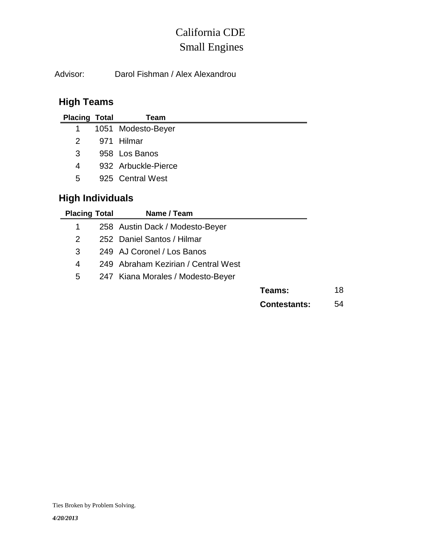## Small Engines California CDE

Advisor: Darol Fishman / Alex Alexandrou

## **High Teams**

| <b>Placing Total</b> | Team                |
|----------------------|---------------------|
| $1 \quad$            | 1051 Modesto-Beyer  |
| 2                    | 971 Hilmar          |
| 3                    | 958 Los Banos       |
| 4                    | 932 Arbuckle-Pierce |
| 5                    | 925 Central West    |
| .                    |                     |

## **High Individuals**

| <b>Placing Total</b> | Name / Team                         |                     |    |
|----------------------|-------------------------------------|---------------------|----|
| 1                    | 258 Austin Dack / Modesto-Beyer     |                     |    |
| 2                    | 252 Daniel Santos / Hilmar          |                     |    |
| 3                    | 249 AJ Coronel / Los Banos          |                     |    |
| 4                    | 249 Abraham Kezirian / Central West |                     |    |
| 5                    | 247 Kiana Morales / Modesto-Beyer   |                     |    |
|                      |                                     | Teams:              | 18 |
|                      |                                     | <b>Contestants:</b> | 54 |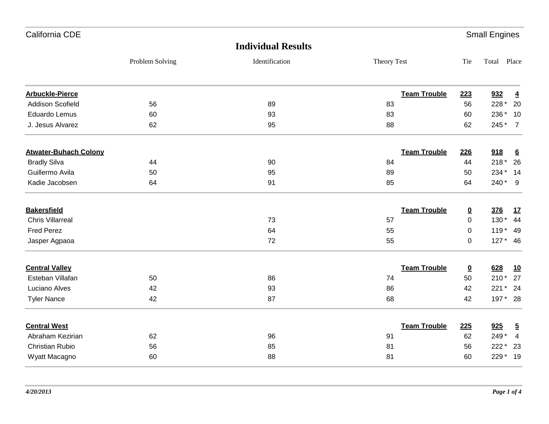| California CDE               |                 |                           |                     |                          | <b>Small Engines</b> |                 |
|------------------------------|-----------------|---------------------------|---------------------|--------------------------|----------------------|-----------------|
|                              |                 | <b>Individual Results</b> |                     |                          |                      |                 |
|                              | Problem Solving | Identification            | Theory Test         | Tie                      | Total Place          |                 |
| <b>Arbuckle-Pierce</b>       |                 |                           | <b>Team Trouble</b> | 223                      | 932                  | $\overline{4}$  |
| <b>Addison Scofield</b>      | 56              | 89                        | 83                  | 56                       | 228 *                | 20              |
| Eduardo Lemus                | 60              | 93                        | 83                  | 60                       | 236 *                | 10              |
| J. Jesus Alvarez             | 62              | 95                        | 88                  | 62                       | 245*                 | $\overline{7}$  |
| <b>Atwater-Buhach Colony</b> |                 |                           | <b>Team Trouble</b> | 226                      | 918                  | $6\overline{6}$ |
| <b>Bradly Silva</b>          | 44              | 90                        | 84                  | 44                       | $218*$               | 26              |
| Guillermo Avila              | 50              | 95                        | 89                  | 50                       | 234 *                | 14              |
| Kadie Jacobsen               | 64              | 91                        | 85                  | 64                       | 240*                 | 9               |
| <b>Bakersfield</b>           |                 |                           | <b>Team Trouble</b> | $\overline{\mathbf{0}}$  | 376                  | 17              |
| <b>Chris Villarreal</b>      |                 | 73                        | 57                  | 0                        | 130*                 | 44              |
| <b>Fred Perez</b>            |                 | 64                        | 55                  | $\mathbf 0$              | $119*$               | 49              |
| Jasper Agpaoa                |                 | 72                        | 55                  | 0                        | $127*$               | 46              |
| <b>Central Valley</b>        |                 |                           | <b>Team Trouble</b> | $\underline{\mathbf{0}}$ | 628                  | <u>10</u>       |
| Esteban Villafan             | 50              | 86                        | 74                  | 50                       | $210*$               | 27              |
| Luciano Alves                | 42              | 93                        | 86                  | 42                       | $221*$               | 24              |
| <b>Tyler Nance</b>           | 42              | 87                        | 68                  | 42                       | 197 * 28             |                 |
| <b>Central West</b>          |                 |                           | <b>Team Trouble</b> | 225                      | 925                  | $\overline{5}$  |
| Abraham Kezirian             | 62              | 96                        | 91                  | 62                       | 249*                 | $\overline{4}$  |
| <b>Christian Rubio</b>       | 56              | 85                        | 81                  | 56                       | 222 *                | 23              |
| Wyatt Macagno                | 60              | 88                        | 81                  | 60                       | 229*                 | 19              |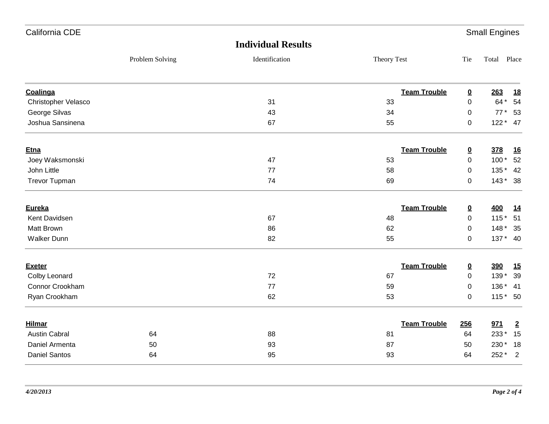| California CDE       |                 |                           |                     |                          | <b>Small Engines</b> |                |
|----------------------|-----------------|---------------------------|---------------------|--------------------------|----------------------|----------------|
|                      |                 | <b>Individual Results</b> |                     |                          |                      |                |
|                      | Problem Solving | Identification            | Theory Test         | Tie                      | Total Place          |                |
| Coalinga             |                 |                           | <b>Team Trouble</b> | $\overline{\mathbf{0}}$  | 263                  | <u>18</u>      |
| Christopher Velasco  |                 | 31                        | 33                  | 0                        | 64 *                 | 54             |
| George Silvas        |                 | 43                        | 34                  | 0                        | $77*$                | 53             |
| Joshua Sansinena     |                 | 67                        | 55                  | $\pmb{0}$                |                      | $122 * 47$     |
| <b>Etna</b>          |                 |                           | <b>Team Trouble</b> | $\overline{\mathbf{0}}$  | 378                  | <u>16</u>      |
| Joey Waksmonski      |                 | 47                        | 53                  | $\pmb{0}$                | $100*$               | 52             |
| John Little          |                 | 77                        | 58                  | 0                        | $135*$               | 42             |
| <b>Trevor Tupman</b> |                 | 74                        | 69                  | 0                        |                      | 143 * 38       |
| Eureka               |                 |                           | <b>Team Trouble</b> | <u>0</u>                 | 400                  | <u>14</u>      |
| Kent Davidsen        |                 | 67                        | 48                  | 0                        | $115*$               | 51             |
| Matt Brown           |                 | 86                        | 62                  | 0                        | $148*$               | 35             |
| <b>Walker Dunn</b>   |                 | 82                        | 55                  | 0                        |                      | 137 * 40       |
| <b>Exeter</b>        |                 |                           | <b>Team Trouble</b> | $\underline{\mathbf{0}}$ | 390                  | 15             |
| Colby Leonard        |                 | 72                        | 67                  | $\mathbf 0$              | 139 *                | 39             |
| Connor Crookham      |                 | 77                        | 59                  | $\mathbf 0$              | 136 *                | 41             |
| Ryan Crookham        |                 | 62                        | 53                  | $\pmb{0}$                |                      | 115 * 50       |
| <b>Hilmar</b>        |                 |                           | <b>Team Trouble</b> | 256                      | 971                  | $\overline{2}$ |
| <b>Austin Cabral</b> | 64              | 88                        | 81                  | 64                       | 233*                 | 15             |
| Daniel Armenta       | 50              | 93                        | 87                  | 50                       | 230 *                | 18             |
| <b>Daniel Santos</b> | 64              | 95                        | 93                  | 64                       | 252 *                | $\overline{2}$ |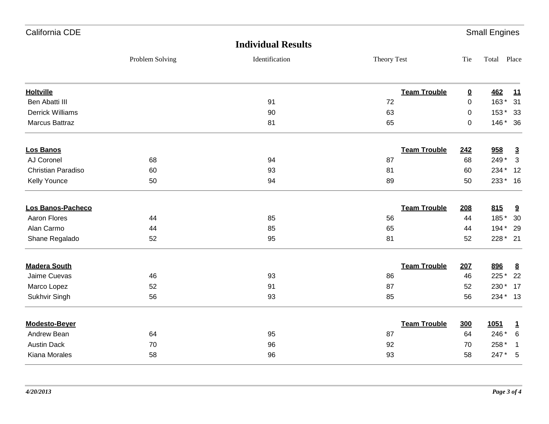| California CDE          |                 |                           |                     |                         | <b>Small Engines</b> |                         |
|-------------------------|-----------------|---------------------------|---------------------|-------------------------|----------------------|-------------------------|
|                         |                 | <b>Individual Results</b> |                     |                         |                      |                         |
|                         | Problem Solving | Identification            | Theory Test         | Tie                     | Total Place          |                         |
| <b>Holtville</b>        |                 |                           | <b>Team Trouble</b> | $\overline{\mathbf{0}}$ | <b>462</b>           | <u>11</u>               |
| Ben Abatti III          |                 | 91                        | 72                  | 0                       | 163*                 | 31                      |
| <b>Derrick Williams</b> |                 | 90                        | 63                  | 0                       | 153*                 | 33                      |
| Marcus Battraz          |                 | 81                        | 65                  | $\pmb{0}$               | 146 * 36             |                         |
| <b>Los Banos</b>        |                 |                           | <b>Team Trouble</b> | 242                     | 958                  | $\overline{3}$          |
| AJ Coronel              | 68              | 94                        | 87                  | 68                      | 249*                 | 3                       |
| Christian Paradiso      | 60              | 93                        | 81                  | 60                      | 234 *                | 12                      |
| Kelly Younce            | 50              | 94                        | 89                  | 50                      | 233* 16              |                         |
| Los Banos-Pacheco       |                 |                           | <b>Team Trouble</b> | 208                     | 815                  | 9                       |
| <b>Aaron Flores</b>     | 44              | 85                        | 56                  | 44                      | 185*                 | 30                      |
| Alan Carmo              | 44              | 85                        | 65                  | 44                      | 194 *                | 29                      |
| Shane Regalado          | 52              | 95                        | 81                  | 52                      | 228 * 21             |                         |
| <b>Madera South</b>     |                 |                           | <b>Team Trouble</b> | 207                     | 896                  | $\underline{8}$         |
| Jaime Cuevas            | 46              | 93                        | 86                  | 46                      | 225 *                | 22                      |
| Marco Lopez             | 52              | 91                        | 87                  | 52                      | 230 *                | 17                      |
| Sukhvir Singh           | 56              | 93                        | 85                  | 56                      | 234 * 13             |                         |
| <b>Modesto-Bever</b>    |                 |                           | <b>Team Trouble</b> | <b>300</b>              | 1051                 | $\mathbf 1$             |
| Andrew Bean             | 64              | 95                        | 87                  | 64                      | 246 *                | 6                       |
| <b>Austin Dack</b>      | 70              | 96                        | 92                  | 70                      | 258 *                | $\overline{\mathbf{1}}$ |
| Kiana Morales           | 58              | 96                        | 93                  | 58                      | 247*                 | 5                       |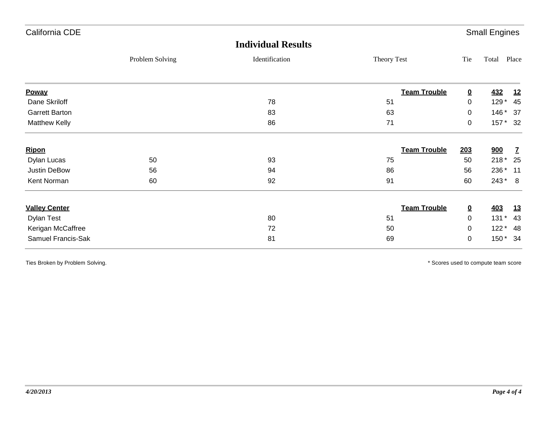| California CDE        |                 |                           |                     |                         | <b>Small Engines</b> |              |
|-----------------------|-----------------|---------------------------|---------------------|-------------------------|----------------------|--------------|
|                       |                 | <b>Individual Results</b> |                     |                         |                      |              |
|                       | Problem Solving | Identification            | Theory Test         | Tie                     | Total                | Place        |
| Poway                 |                 |                           | <b>Team Trouble</b> | $\overline{\mathbf{0}}$ | <b>432</b>           | <u>12</u>    |
| Dane Skriloff         |                 | 78                        | 51                  | $\mathbf 0$             | $129*$               | 45           |
| <b>Garrett Barton</b> |                 | 83                        | 63                  | 0                       | $146*$               | - 37         |
| Matthew Kelly         |                 | 86                        | 71                  | $\mathbf 0$             |                      | 157 * 32     |
| <b>Ripon</b>          |                 |                           | <b>Team Trouble</b> | <u>203</u>              | 900                  | $\mathbf{Z}$ |
| Dylan Lucas           | 50              | 93                        | 75                  | 50                      | $218*$               | 25           |
| Justin DeBow          | 56              | 94                        | 86                  | 56                      | 236 *                | $-11$        |
| Kent Norman           | 60              | 92                        | 91                  | 60                      | $243*$               | 8            |
| <b>Valley Center</b>  |                 |                           | <b>Team Trouble</b> | $\overline{\mathbf{0}}$ | <b>403</b>           | <u>13</u>    |
| <b>Dylan Test</b>     |                 | 80                        | 51                  | 0                       | $131*$               | 43           |
| Kerigan McCaffree     |                 | 72                        | 50                  | 0                       | $122*$               | 48           |
| Samuel Francis-Sak    |                 | 81                        | 69                  | $\boldsymbol{0}$        | 150*                 | 34           |

Ties Broken by Problem Solving. The Solving of the Solve of the Solve of the Solve of the Solve of the Solve of the Solve of the Solve of the Solve of the Solve of the Solve of the Solve of the Solve of the Solve of the So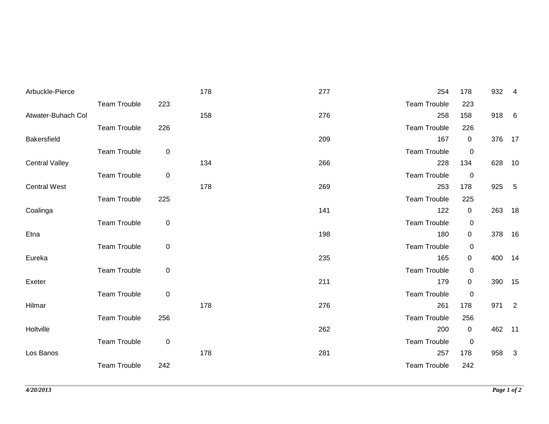| Arbuckle-Pierce       |                     |             | 178 | 277 | 254                 | 178            | 932    | -4                       |
|-----------------------|---------------------|-------------|-----|-----|---------------------|----------------|--------|--------------------------|
|                       | <b>Team Trouble</b> | 223         |     |     | <b>Team Trouble</b> | 223            |        |                          |
| Atwater-Buhach Col    |                     |             | 158 | 276 | 258                 | 158            | 918 6  |                          |
|                       | <b>Team Trouble</b> | 226         |     |     | <b>Team Trouble</b> | 226            |        |                          |
| <b>Bakersfield</b>    |                     |             |     | 209 | 167                 | $\mathbf 0$    | 376 17 |                          |
|                       | <b>Team Trouble</b> | $\pmb{0}$   |     |     | <b>Team Trouble</b> | $\mathbf 0$    |        |                          |
| <b>Central Valley</b> |                     |             | 134 | 266 | 228                 | 134            | 628    | 10                       |
|                       | <b>Team Trouble</b> | $\pmb{0}$   |     |     | <b>Team Trouble</b> | $\mathbf 0$    |        |                          |
| <b>Central West</b>   |                     |             | 178 | 269 | 253                 | 178            | 925    | $-5$                     |
|                       | <b>Team Trouble</b> | 225         |     |     | <b>Team Trouble</b> | 225            |        |                          |
| Coalinga              |                     |             |     | 141 | 122                 | $\overline{0}$ | 263 18 |                          |
|                       | <b>Team Trouble</b> | $\mathbf 0$ |     |     | Team Trouble        | 0              |        |                          |
| Etna                  |                     |             |     | 198 | 180                 | $\overline{0}$ | 378    | 16                       |
|                       | <b>Team Trouble</b> | $\pmb{0}$   |     |     | <b>Team Trouble</b> | 0              |        |                          |
| Eureka                |                     |             |     | 235 | 165                 | $\overline{0}$ | 400    | 14                       |
|                       | <b>Team Trouble</b> | $\pmb{0}$   |     |     | <b>Team Trouble</b> | 0              |        |                          |
| Exeter                |                     |             |     | 211 | 179                 | $\mathbf 0$    | 390 15 |                          |
|                       | <b>Team Trouble</b> | $\mathbf 0$ |     |     | <b>Team Trouble</b> | 0              |        |                          |
| Hilmar                |                     |             | 178 | 276 | 261                 | 178            | 971    | $\overline{\phantom{a}}$ |
|                       | <b>Team Trouble</b> | 256         |     |     | <b>Team Trouble</b> | 256            |        |                          |
| Holtville             |                     |             |     | 262 | 200                 | $\overline{0}$ | 462 11 |                          |
|                       | <b>Team Trouble</b> | $\mathbf 0$ |     |     | <b>Team Trouble</b> | 0              |        |                          |
| Los Banos             |                     |             | 178 | 281 | 257                 | 178            | 958    | $\mathbf{3}$             |
|                       | <b>Team Trouble</b> | 242         |     |     | <b>Team Trouble</b> | 242            |        |                          |